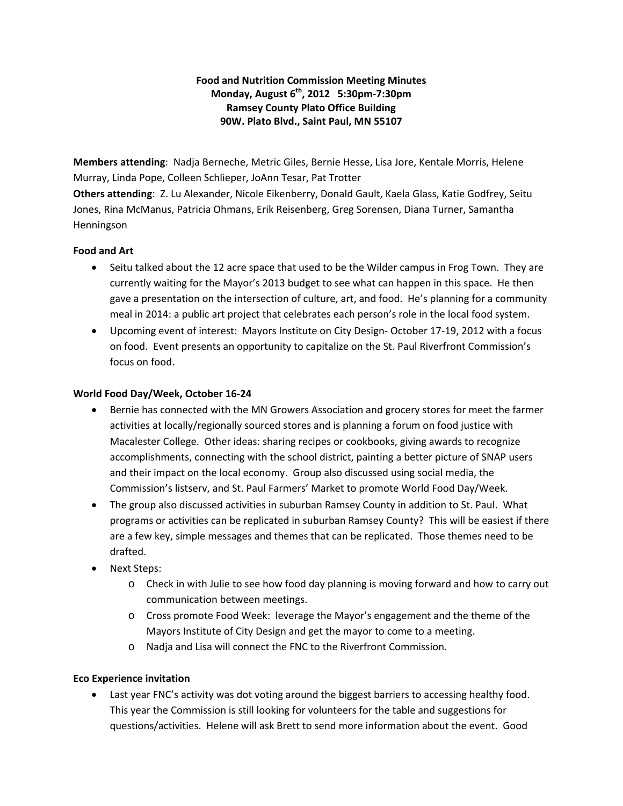# **Food and Nutrition Commission Meeting Minutes Monday, August 6th, 2012 5:30pm‐7:30pm Ramsey County Plato Office Building 90W. Plato Blvd., Saint Paul, MN 55107**

**Members attending**: Nadja Berneche, Metric Giles, Bernie Hesse, Lisa Jore, Kentale Morris, Helene Murray, Linda Pope, Colleen Schlieper, JoAnn Tesar, Pat Trotter **Others attending**: Z. Lu Alexander, Nicole Eikenberry, Donald Gault, Kaela Glass, Katie Godfrey, Seitu Jones, Rina McManus, Patricia Ohmans, Erik Reisenberg, Greg Sorensen, Diana Turner, Samantha Henningson

### **Food and Art**

- Seitu talked about the 12 acre space that used to be the Wilder campus in Frog Town. They are currently waiting for the Mayor's 2013 budget to see what can happen in this space. He then gave a presentation on the intersection of culture, art, and food. He's planning for a community meal in 2014: a public art project that celebrates each person's role in the local food system.
- Upcoming event of interest: Mayors Institute on City Design‐ October 17‐19, 2012 with a focus on food. Event presents an opportunity to capitalize on the St. Paul Riverfront Commission's focus on food.

### **World Food Day/Week, October 16‐24**

- Bernie has connected with the MN Growers Association and grocery stores for meet the farmer activities at locally/regionally sourced stores and is planning a forum on food justice with Macalester College. Other ideas: sharing recipes or cookbooks, giving awards to recognize accomplishments, connecting with the school district, painting a better picture of SNAP users and their impact on the local economy. Group also discussed using social media, the Commission's listserv, and St. Paul Farmers' Market to promote World Food Day/Week.
- The group also discussed activities in suburban Ramsey County in addition to St. Paul. What programs or activities can be replicated in suburban Ramsey County? This will be easiest if there are a few key, simple messages and themes that can be replicated. Those themes need to be drafted.
- Next Steps:
	- o Check in with Julie to see how food day planning is moving forward and how to carry out communication between meetings.
	- o Cross promote Food Week: leverage the Mayor's engagement and the theme of the Mayors Institute of City Design and get the mayor to come to a meeting.
	- o Nadja and Lisa will connect the FNC to the Riverfront Commission.

## **Eco Experience invitation**

 Last year FNC's activity was dot voting around the biggest barriers to accessing healthy food. This year the Commission is still looking for volunteers for the table and suggestions for questions/activities. Helene will ask Brett to send more information about the event. Good